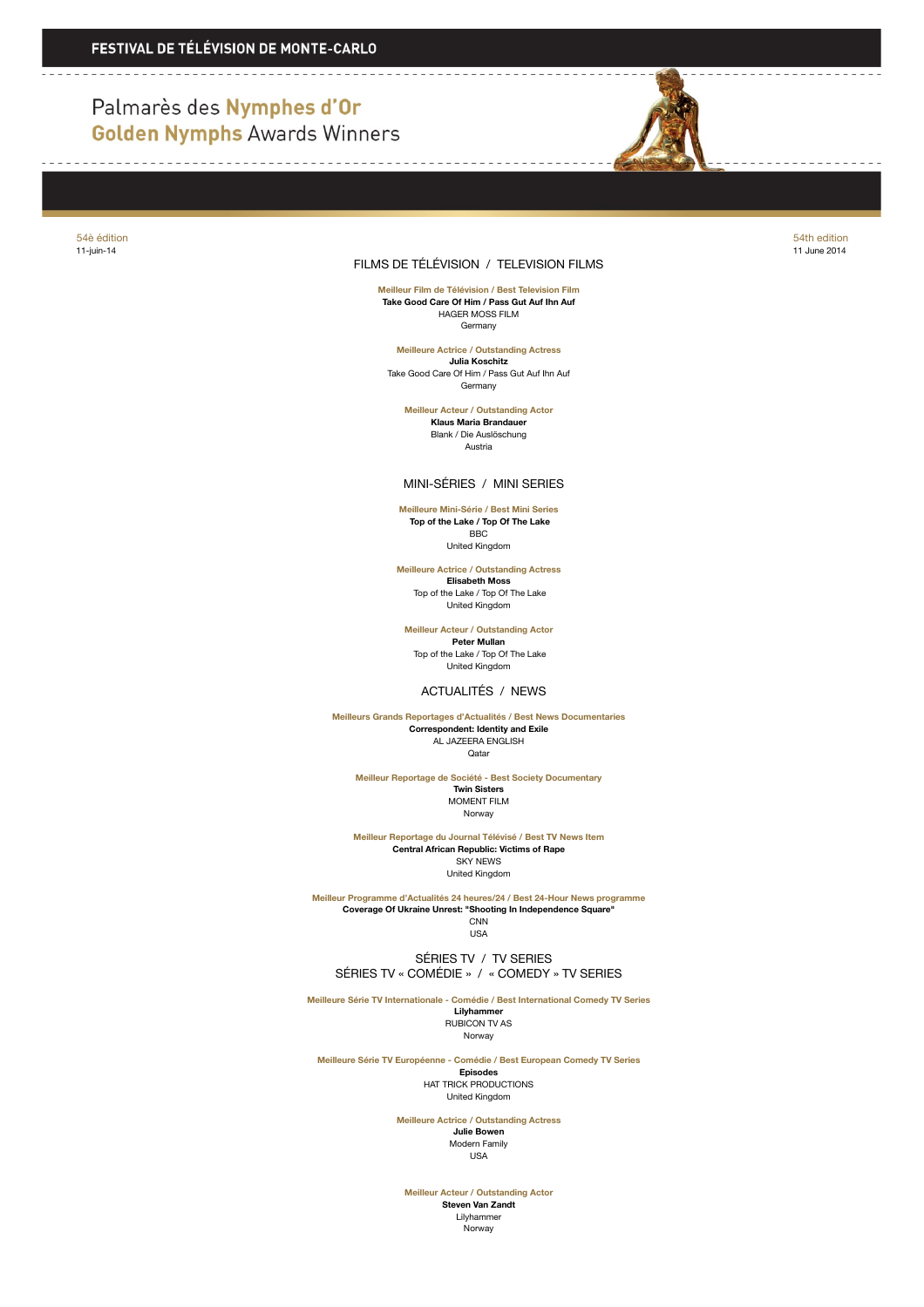# Palmarès des Nymphes d'Or **Golden Nymphs Awards Winners**



11-juin-14 11 June 2014

### FILMS DE TÉLÉVISION / TELEVISION FILMS

**Meilleur Film de Télévision / Best Television Film Take Good Care Of Him / Pass Gut Auf Ihn Auf** HAGER MOSS FILM Germany

**Meilleure Actrice / Outstanding Actress Julia Koschitz** Take Good Care Of Him / Pass Gut Auf Ihn Auf Germany

**Meilleur Acteur / Outstanding Actor Klaus Maria Brandauer** Blank / Die Auslöschung Austria

MINI-SÉRIES / MINI SERIES

**Meilleure Mini-Série / Best Mini Series Top of the Lake / Top Of The Lake** BBC United Kingdom

**Meilleure Actrice / Outstanding Actress Elisabeth Moss** Top of the Lake / Top Of The Lake United Kingdom

**Meilleur Acteur / Outstanding Actor Peter Mullan** Top of the Lake / Top Of The Lake

United Kingdom

### ACTUALITÉS / NEWS

**Meilleurs Grands Reportages d'Actualités / Best News Documentaries Correspondent: Identity and Exile** AL JAZEERA ENGLISH Qatar

**Meilleur Reportage de Société - Best Society Documentary Twin Sisters** MOMENT FILM Norway

**Meilleur Reportage du Journal Télévisé / Best TV News Item Central African Republic: Victims of Rape** SKY NEWS United Kingdom

**Meilleur Programme d'Actualités 24 heures/24 / Best 24-Hour News programme Coverage Of Ukraine Unrest: "Shooting In Independence Square" CNN** USA

 SÉRIES TV / TV SERIES SÉRIES TV « COMÉDIE » / « COMEDY » TV SERIES

**Meilleure Série TV Internationale - Comédie / Best International Comedy TV Series Lilyhammer**

RUBICON TV AS Norway

**Meilleure Série TV Européenne - Comédie / Best European Comedy TV Series Episodes** HAT TRICK PRODUCTIONS United Kingdom

> **Meilleure Actrice / Outstanding Actress Julie Bowen** Modern Family USA

**Meilleur Acteur / Outstanding Actor**

**Steven Van Zandt** Lilyhammer Norway

54è édition 54th edition